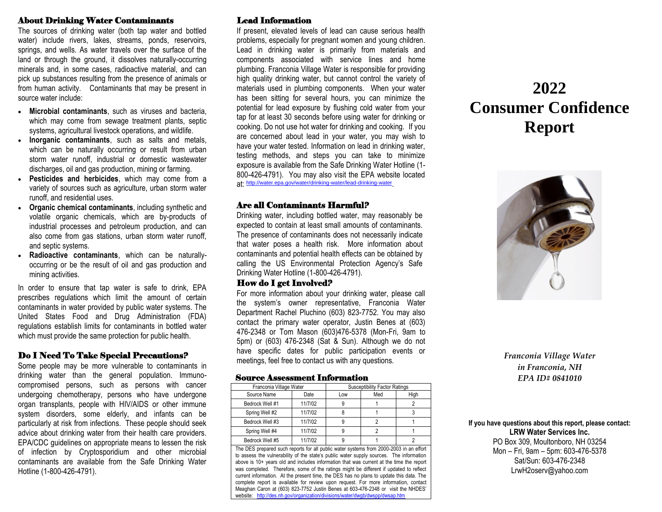### About Drinking Water Contaminants

The sources of drinking water (both tap water and bottled water) include rivers, lakes, streams, ponds, reservoirs, springs, and wells. As water travels over the surface of the land or through the ground, it dissolves naturally-occurring minerals and, in some cases, radioactive material, and can pick up substances resulting from the presence of animals or from human activity. Contaminants that may be present in source water include:

- **Microbial contaminants**, such as viruses and bacteria, which may come from sewage treatment plants, septic systems, agricultural livestock operations, and wildlife.
- **Inorganic contaminants**, such as salts and metals, which can be naturally occurring or result from urban storm water runoff, industrial or domestic wastewater discharges, oil and gas production, mining or farming.
- **Pesticides and herbicides**, which may come from a variety of sources such as agriculture, urban storm water runoff, and residential uses.
- **Organic chemical contaminants**, including synthetic and volatile organic chemicals, which are by-products of industrial processes and petroleum production, and can also come from gas stations, urban storm water runoff, and septic systems.
- **Radioactive contaminants**, which can be naturallyoccurring or be the result of oil and gas production and mining activities.

In order to ensure that tap water is safe to drink, EPA prescribes regulations which limit the amount of certain contaminants in water provided by public water systems. The United States Food and Drug Administration (FDA) regulations establish limits for contaminants in bottled water which must provide the same protection for public health.

# Do I Need To Take Special Precautions?

Some people may be more vulnerable to contaminants in drinking water than the general population. Immunocompromised persons, such as persons with cancer undergoing chemotherapy, persons who have undergone organ transplants, people with HIV/AIDS or other immune system disorders, some elderly, and infants can be particularly at risk from infections. These people should seek advice about drinking water from their health care providers. EPA/CDC guidelines on appropriate means to lessen the risk of infection by Cryptosporidium and other microbial contaminants are available from the Safe Drinking Water Hotline (1-800-426-4791).

# Lead Information

If present, elevated levels of lead can cause serious health problems, especially for pregnant women and young children. Lead in drinking water is primarily from materials and components associated with service lines and home plumbing. Franconia Village Water is responsible for providing high quality drinking water, but cannot control the variety of materials used in plumbing components. When your water has been sitting for several hours, you can minimize the potential for lead exposure by flushing cold water from your tap for at least 30 seconds before using water for drinking or cooking. Do not use hot water for drinking and cooking. If you are concerned about lead in your water, you may wish to have your water tested. Information on lead in drinking water, testing methods, and steps you can take to minimize exposure is available from the Safe Drinking Water Hotline (1- 800-426-4791). You may also visit the EPA website located at: <http://water.epa.gov/water/drinking-water/lead-drinking-water> .

### Are all Contaminants Harmful?

Drinking water, including bottled water, may reasonably be expected to contain at least small amounts of contaminants. The presence of contaminants does not necessarily indicate that water poses a health risk. More information about contaminants and potential health effects can be obtained by calling the US Environmental Protection Agency's Safe Drinking Water Hotline (1-800-426-4791).

### How do I get Involved?

For more information about your drinking water, please call the system's owner representative, Franconia Water Department Rachel Pluchino (603) 823-7752. You may also contact the primary water operator, Justin Benes at (603) 476-2348 or Tom Mason (603)476-5378 (Mon-Fri, 9am to 5pm) or (603) 476-2348 (Sat & Sun). Although we do not have specific dates for public participation events or meetings, feel free to contact us with any questions.

#### Source Assessment Information

| Franconia Village Water | <b>Susceptibility Factor Ratings</b> |                    |            |      |
|-------------------------|--------------------------------------|--------------------|------------|------|
| Source Name             | Date                                 | Low                | Med        | High |
| Bedrock Well #1         | 11/7/02                              |                    |            |      |
| Spring Well #2          | 11/7/02                              |                    |            |      |
| Bedrock Well #3         | 11/7/02                              |                    |            |      |
| Spring Well #4          | 11/7/02                              |                    |            |      |
| Bedrock Well #5         | 11/7/02                              |                    |            |      |
| ---                     | .                                    | .<br>$\sim$ $\sim$ | $\sim$<br> | . .  |

The DES prepared such reports for all public water systems from 2000-2003 in an effort to assess the vulnerability of the state's public water supply sources. The information above is 10+ years old and includes information that was current at the time the report was completed. Therefore, some of the ratings might be different if updated to reflect current information. At the present time, the DES has no plans to update this data. The complete report is available for review upon request. For more information, contact Meaghan Caron at (603) 823-7752 Justin Benes at 603-476-2348 or visit the NHDES' website:<http://des.nh.gov/organization/divisions/water/dwgb/dwspp/dwsap.htm>

# **2022 Consumer Confidence Report**



*Franconia Village Water in Franconia, NH EPA ID# 0841010*

**If you have questions about this report, please contact: LRW Water Services Inc.** PO Box 309, Moultonboro, NH 03254 Mon – Fri, 9am – 5pm: 603-476-5378

Sat/Sun: 603-476-2348 LrwH2oserv@yahoo.com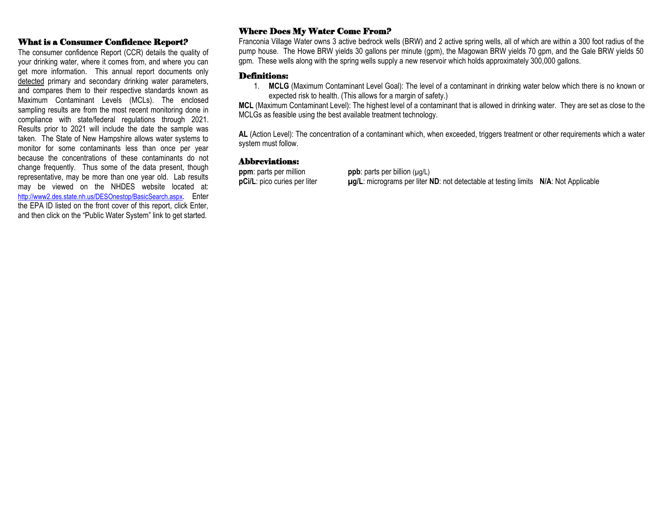# What is a Consumer Confidence Report?

The consumer confidence Report (CCR) details the quality of your drinking water, where it comes from, and where you can get more information. This annual report documents only detected primary and secondary drinking water parameters, and compares them to their respective standards known as Maximum Contaminant Levels (MCLs). The enclosed sampling results are from the most recent monitoring done in compliance with state/federal regulations through 2021. Results prior to 2021 will include the date the sample was taken. The State of New Hampshire allows water systems to monitor for some contaminants less than once per year because the concentrations of these contaminants do not change frequently. Thus some of the data present, though representative, may be more than one year old. Lab results may be viewed on the NHDES website located at: <http://www2.des.state.nh.us/DESOnestop/BasicSearch.aspx>. Enter the EPA ID listed on the front cover of this report, click Enter, and then click on the "Public Water System" link to get started.

# Where Does My Water Come From?

Franconia Village Water owns 3 active bedrock wells (BRW) and 2 active spring wells, all of which are within a 300 foot radius of the pump house. The Howe BRW yields 30 gallons per minute (gpm), the Magowan BRW yields 70 gpm, and the Gale BRW yields 50 gpm. These wells along with the spring wells supply a new reservoir which holds approximately 300,000 gallons.

#### Definitions:

1. **MCLG** (Maximum Contaminant Level Goal): The level of a contaminant in drinking water below which there is no known or expected risk to health. (This allows for a margin of safety.)

**MCL** (Maximum Contaminant Level): The highest level of a contaminant that is allowed in drinking water. They are set as close to the MCLGs as feasible using the best available treatment technology.

**AL** (Action Level): The concentration of a contaminant which, when exceeded, triggers treatment or other requirements which a water system must follow.

### Abbreviations:

**ppm**: parts per million **ppb**: parts per billion ( $\mu$ g/L) **pCi/L**: pico curies per liter **µg/L**: micrograms per liter **ND**: not detectable at testing limits **N/A**: Not Applicable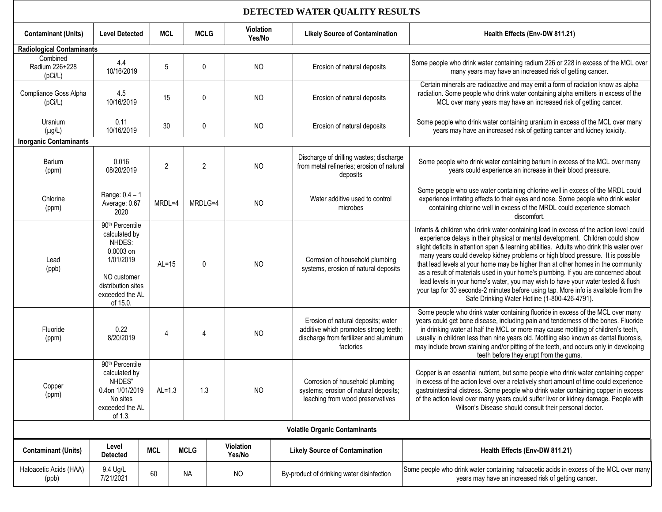# **DETECTED WATER QUALITY RESULTS**

| <b>Contaminant (Units)</b>            | <b>Level Detected</b>                                                                                                                                | <b>MCL</b> | <b>MCLG</b>    | Violation<br>Yes/No |  | <b>Likely Source of Contamination</b>                                                                                              | Health Effects (Env-DW 811.21)                                                                                                                                                                                                                                                                                                                                                                                                                                                                                                                                                                                                                                                                                                                               |  |
|---------------------------------------|------------------------------------------------------------------------------------------------------------------------------------------------------|------------|----------------|---------------------|--|------------------------------------------------------------------------------------------------------------------------------------|--------------------------------------------------------------------------------------------------------------------------------------------------------------------------------------------------------------------------------------------------------------------------------------------------------------------------------------------------------------------------------------------------------------------------------------------------------------------------------------------------------------------------------------------------------------------------------------------------------------------------------------------------------------------------------------------------------------------------------------------------------------|--|
| <b>Radiological Contaminants</b>      |                                                                                                                                                      |            |                |                     |  |                                                                                                                                    |                                                                                                                                                                                                                                                                                                                                                                                                                                                                                                                                                                                                                                                                                                                                                              |  |
| Combined<br>Radium 226+228<br>(pCi/L) | 4.4<br>10/16/2019                                                                                                                                    | 5          | 0              | <b>NO</b>           |  | Erosion of natural deposits                                                                                                        | Some people who drink water containing radium 226 or 228 in excess of the MCL over<br>many years may have an increased risk of getting cancer.                                                                                                                                                                                                                                                                                                                                                                                                                                                                                                                                                                                                               |  |
| Compliance Goss Alpha<br>(pCi/L)      | 4.5<br>10/16/2019                                                                                                                                    | 15         | 0              | <b>NO</b>           |  | Erosion of natural deposits                                                                                                        | Certain minerals are radioactive and may emit a form of radiation know as alpha<br>radiation. Some people who drink water containing alpha emitters in excess of the<br>MCL over many years may have an increased risk of getting cancer.                                                                                                                                                                                                                                                                                                                                                                                                                                                                                                                    |  |
| Uranium<br>$(\mu g/L)$                | 0.11<br>10/16/2019                                                                                                                                   | 30         | 0              | <b>NO</b>           |  | Erosion of natural deposits                                                                                                        | Some people who drink water containing uranium in excess of the MCL over many<br>years may have an increased risk of getting cancer and kidney toxicity.                                                                                                                                                                                                                                                                                                                                                                                                                                                                                                                                                                                                     |  |
| <b>Inorganic Contaminants</b>         |                                                                                                                                                      |            |                |                     |  |                                                                                                                                    |                                                                                                                                                                                                                                                                                                                                                                                                                                                                                                                                                                                                                                                                                                                                                              |  |
| Barium<br>(ppm)                       | 0.016<br>08/20/2019                                                                                                                                  | 2          | $\overline{2}$ | <b>NO</b>           |  | Discharge of drilling wastes; discharge<br>from metal refineries; erosion of natural<br>deposits                                   | Some people who drink water containing barium in excess of the MCL over many<br>years could experience an increase in their blood pressure.                                                                                                                                                                                                                                                                                                                                                                                                                                                                                                                                                                                                                  |  |
| Chlorine<br>(ppm)                     | Range: $0.4 - 1$<br>Average: 0.67<br>2020                                                                                                            | MRDL=4     | MRDLG=4        | <b>NO</b>           |  | Water additive used to control<br>microbes                                                                                         | Some people who use water containing chlorine well in excess of the MRDL could<br>experience irritating effects to their eyes and nose. Some people who drink water<br>containing chlorine well in excess of the MRDL could experience stomach<br>discomfort.                                                                                                                                                                                                                                                                                                                                                                                                                                                                                                |  |
| Lead<br>(ppb)                         | 90 <sup>th</sup> Percentile<br>calculated by<br>NHDES:<br>0.0003 on<br>1/01/2019<br>NO customer<br>distribution sites<br>exceeded the AL<br>of 15.0. | $AL=15$    | 0              | <b>NO</b>           |  | Corrosion of household plumbing<br>systems, erosion of natural deposits                                                            | Infants & children who drink water containing lead in excess of the action level could<br>experience delays in their physical or mental development. Children could show<br>slight deficits in attention span & learning abilities. Adults who drink this water over<br>many years could develop kidney problems or high blood pressure. It is possible<br>that lead levels at your home may be higher than at other homes in the community<br>as a result of materials used in your home's plumbing. If you are concerned about<br>lead levels in your home's water, you may wish to have your water tested & flush<br>your tap for 30 seconds-2 minutes before using tap. More info is available from the<br>Safe Drinking Water Hotline (1-800-426-4791). |  |
| Fluoride<br>(ppm)                     | 0.22<br>8/20/2019                                                                                                                                    | 4          | 4              | <b>NO</b>           |  | Erosion of natural deposits; water<br>additive which promotes strong teeth;<br>discharge from fertilizer and aluminum<br>factories | Some people who drink water containing fluoride in excess of the MCL over many<br>years could get bone disease, including pain and tenderness of the bones. Fluoride<br>in drinking water at half the MCL or more may cause mottling of children's teeth,<br>usually in children less than nine years old. Mottling also known as dental fluorosis,<br>may include brown staining and/or pitting of the teeth, and occurs only in developing<br>teeth before they erupt from the gums.                                                                                                                                                                                                                                                                       |  |
| Copper<br>(ppm)                       | 90th Percentile<br>calculated by<br>NHDES"<br>0.4on 1/01/2019<br>No sites<br>exceeded the AL<br>of 1.3.                                              | $AL=1.3$   | 1.3            | <b>NO</b>           |  | Corrosion of household plumbing<br>systems; erosion of natural deposits;<br>leaching from wood preservatives                       | Copper is an essential nutrient, but some people who drink water containing copper<br>in excess of the action level over a relatively short amount of time could experience<br>gastrointestinal distress. Some people who drink water containing copper in excess<br>of the action level over many years could suffer liver or kidney damage. People with<br>Wilson's Disease should consult their personal doctor.                                                                                                                                                                                                                                                                                                                                          |  |
| <b>Volatile Organic Contaminants</b>  |                                                                                                                                                      |            |                |                     |  |                                                                                                                                    |                                                                                                                                                                                                                                                                                                                                                                                                                                                                                                                                                                                                                                                                                                                                                              |  |
| <b>Contaminant (Units)</b>            | Level<br><b>Detected</b>                                                                                                                             | <b>MCL</b> | <b>MCLG</b>    | Violation<br>Yes/No |  | <b>Likely Source of Contamination</b>                                                                                              | Health Effects (Env-DW 811.21)                                                                                                                                                                                                                                                                                                                                                                                                                                                                                                                                                                                                                                                                                                                               |  |
| Haloacetic Acids (HAA)<br>(ppb)       | 9.4 Ug/L<br>7/21/2021                                                                                                                                | 60         | <b>NA</b>      | <b>NO</b>           |  | By-product of drinking water disinfection                                                                                          | Some people who drink water containing haloacetic acids in excess of the MCL over many<br>years may have an increased risk of getting cancer.                                                                                                                                                                                                                                                                                                                                                                                                                                                                                                                                                                                                                |  |